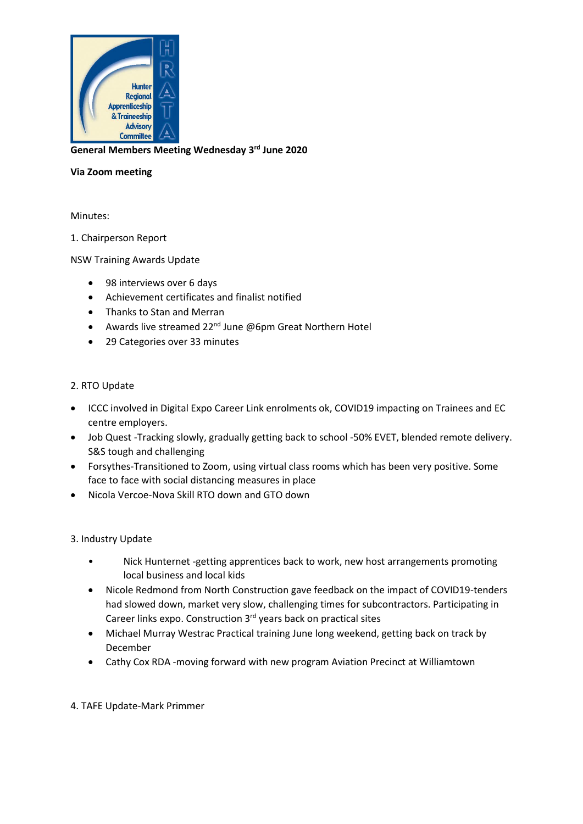

**General Members Meeting Wednesday 3 rd June 2020**

#### **Via Zoom meeting**

Minutes:

#### 1. Chairperson Report

NSW Training Awards Update

- 98 interviews over 6 days
- Achievement certificates and finalist notified
- Thanks to Stan and Merran
- Awards live streamed  $22^{nd}$  June @6pm Great Northern Hotel
- 29 Categories over 33 minutes

#### 2. RTO Update

- ICCC involved in Digital Expo Career Link enrolments ok, COVID19 impacting on Trainees and EC centre employers.
- Job Quest -Tracking slowly, gradually getting back to school -50% EVET, blended remote delivery. S&S tough and challenging
- Forsythes-Transitioned to Zoom, using virtual class rooms which has been very positive. Some face to face with social distancing measures in place
- Nicola Vercoe-Nova Skill RTO down and GTO down

## 3. Industry Update

- Nick Hunternet -getting apprentices back to work, new host arrangements promoting local business and local kids
- Nicole Redmond from North Construction gave feedback on the impact of COVID19-tenders had slowed down, market very slow, challenging times for subcontractors. Participating in Career links expo. Construction 3<sup>rd</sup> years back on practical sites
- Michael Murray Westrac Practical training June long weekend, getting back on track by December
- Cathy Cox RDA -moving forward with new program Aviation Precinct at Williamtown

## 4. TAFE Update-Mark Primmer